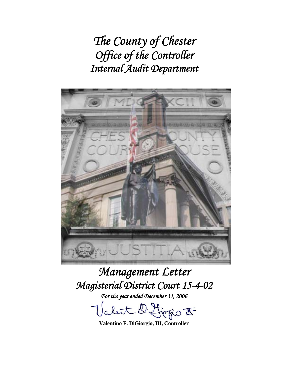*The County of Chester Office of the Controller Internal Audit Department* 



# *Management Letter Magisterial District Court 15-4-02*

*For the year ended December 31, 2006* 

let l'Horio  $t$ 

**Valentino F. DiGiorgio, III, Controller**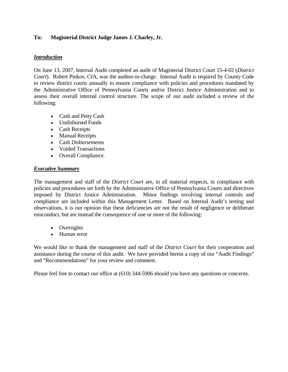# **To: Magisterial District Judge James J. Charley, Jr.**

## *Introduction*

On June 13, 2007, Internal Audit completed an audit of Magisterial District Court 15-4-02 (*District Court*). Robert Pinkos, CIA, was the auditor-in-charge. Internal Audit is required by County Code to review district courts annually to ensure compliance with policies and procedures mandated by the Administrative Office of Pennsylvania Courts and/or District Justice Administration and to assess their overall internal control structure. The scope of our audit included a review of the following:

- Cash and Petty Cash
- Undisbursed Funds
- Cash Receipts
- Manual Receipts
- Cash Disbursements
- Voided Transactions
- Overall Compliance.

#### *Executive Summary*

The management and staff of the *District Court* are, in all material respects, in compliance with policies and procedures set forth by the Administrative Office of Pennsylvania Courts and directives imposed by District Justice Administration. Minor findings involving internal controls and compliance are included within this Management Letter. Based on Internal Audit's testing and observations, it is our opinion that these deficiencies are not the result of negligence or deliberate misconduct, but are instead the consequence of one or more of the following:

- Oversights
- Human error

We would like to thank the management and staff of the *District Court* for their cooperation and assistance during the course of this audit. We have provided herein a copy of our "Audit Findings" and "Recommendations" for your review and comment.

Please feel free to contact our office at (610) 344-5906 should you have any questions or concerns.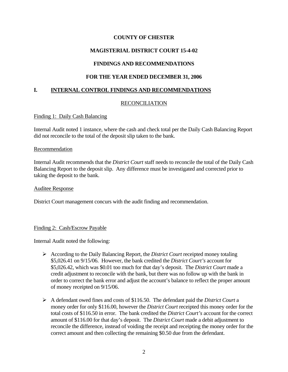# **MAGISTERIAL DISTRICT COURT 15-4-02**

# **FINDINGS AND RECOMMENDATIONS**

# **FOR THE YEAR ENDED DECEMBER 31, 2006**

# **I. INTERNAL CONTROL FINDINGS AND RECOMMENDATIONS**

# RECONCILIATION

## Finding 1: Daily Cash Balancing

Internal Audit noted 1 instance, where the cash and check total per the Daily Cash Balancing Report did not reconcile to the total of the deposit slip taken to the bank.

#### **Recommendation**

Internal Audit recommends that the *District Court* staff needs to reconcile the total of the Daily Cash Balancing Report to the deposit slip. Any difference must be investigated and corrected prior to taking the deposit to the bank.

## Auditee Response

District Court management concurs with the audit finding and recommendation.

## Finding 2: Cash/Escrow Payable

Internal Audit noted the following:

- ¾ According to the Daily Balancing Report, the *District Court* receipted money totaling \$5,026.41 on 9/15/06. However, the bank credited the *District Court's* account for \$5,026.42, which was \$0.01 too much for that day's deposit. The *District Court* made a credit adjustment to reconcile with the bank, but there was no follow up with the bank in order to correct the bank error and adjust the account's balance to reflect the proper amount of money receipted on 9/15/06.
- ¾ A defendant owed fines and costs of \$116.50. The defendant paid the *District Court* a money order for only \$116.00, however the *District Court* receipted this money order for the total costs of \$116.50 in error. The bank credited the *District Court's* account for the correct amount of \$116.00 for that day's deposit. The *District Court* made a debit adjustment to reconcile the difference, instead of voiding the receipt and receipting the money order for the correct amount and then collecting the remaining \$0.50 due from the defendant.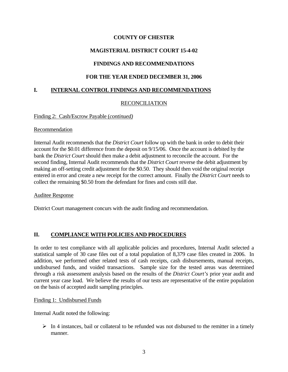# **MAGISTERIAL DISTRICT COURT 15-4-02**

# **FINDINGS AND RECOMMENDATIONS**

# **FOR THE YEAR ENDED DECEMBER 31, 2006**

# **I. INTERNAL CONTROL FINDINGS AND RECOMMENDATIONS**

# RECONCILIATION

## Finding 2: Cash/Escrow Payable (*continued)*

## Recommendation

Internal Audit recommends that the *District Court* follow up with the bank in order to debit their account for the \$0.01 difference from the deposit on 9/15/06. Once the account is debited by the bank the *District Court* should then make a debit adjustment to reconcile the account. For the second finding, Internal Audit recommends that the *District Court* reverse the debit adjustment by making an off-setting credit adjustment for the \$0.50. They should then void the original receipt entered in error and create a new receipt for the correct amount. Finally the *District Court* needs to collect the remaining \$0.50 from the defendant for fines and costs still due.

## Auditee Response

District Court management concurs with the audit finding and recommendation.

# **II. COMPLIANCE WITH POLICIES AND PROCEDURES**

In order to test compliance with all applicable policies and procedures, Internal Audit selected a statistical sample of 30 case files out of a total population of 8,379 case files created in 2006. In addition, we performed other related tests of cash receipts, cash disbursements, manual receipts, undisbursed funds, and voided transactions. Sample size for the tested areas was determined through a risk assessment analysis based on the results of the *District Court's* prior year audit and current year case load. We believe the results of our tests are representative of the entire population on the basis of accepted audit sampling principles.

## Finding 1: Undisbursed Funds

Internal Audit noted the following:

 $\triangleright$  In 4 instances, bail or collateral to be refunded was not disbursed to the remitter in a timely manner.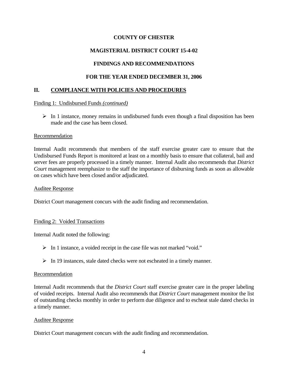# **MAGISTERIAL DISTRICT COURT 15-4-02**

# **FINDINGS AND RECOMMENDATIONS**

# **FOR THE YEAR ENDED DECEMBER 31, 2006**

# **II. COMPLIANCE WITH POLICIES AND PROCEDURES**

## Finding 1: Undisbursed Funds *(continued)*

 $\triangleright$  In 1 instance, money remains in undisbursed funds even though a final disposition has been made and the case has been closed.

## Recommendation

Internal Audit recommends that members of the staff exercise greater care to ensure that the Undisbursed Funds Report is monitored at least on a monthly basis to ensure that collateral, bail and server fees are properly processed in a timely manner. Internal Audit also recommends that *District Court* management reemphasize to the staff the importance of disbursing funds as soon as allowable on cases which have been closed and/or adjudicated.

## Auditee Response

District Court management concurs with the audit finding and recommendation.

## Finding 2: Voided Transactions

Internal Audit noted the following:

- $\triangleright$  In 1 instance, a voided receipt in the case file was not marked "void."
- $\triangleright$  In 19 instances, stale dated checks were not escheated in a timely manner.

## Recommendation

Internal Audit recommends that the *District Court* staff exercise greater care in the proper labeling of voided receipts. Internal Audit also recommends that *District Court* management monitor the list of outstanding checks monthly in order to perform due diligence and to escheat stale dated checks in a timely manner.

## Auditee Response

District Court management concurs with the audit finding and recommendation.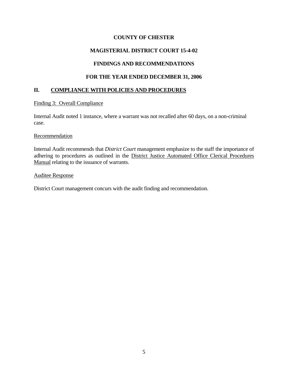# **MAGISTERIAL DISTRICT COURT 15-4-02**

# **FINDINGS AND RECOMMENDATIONS**

# **FOR THE YEAR ENDED DECEMBER 31, 2006**

## **II. COMPLIANCE WITH POLICIES AND PROCEDURES**

#### Finding 3: Overall Compliance

Internal Audit noted 1 instance, where a warrant was not recalled after 60 days, on a non-criminal case.

#### Recommendation

Internal Audit recommends that *District Court* management emphasize to the staff the importance of adhering to procedures as outlined in the District Justice Automated Office Clerical Procedures Manual relating to the issuance of warrants.

#### Auditee Response

District Court management concurs with the audit finding and recommendation.